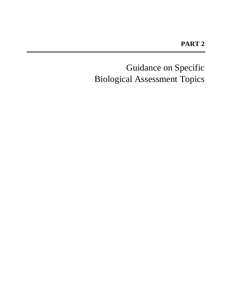Guidance on Specific Biological Assessment Topics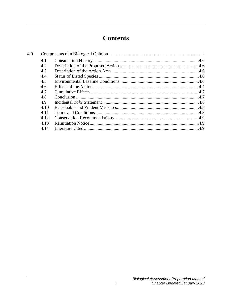# **Contents**

<span id="page-4-0"></span>

| 4.1  |  |
|------|--|
| 4.2  |  |
| 4.3  |  |
| 4.4  |  |
| 4.5  |  |
| 4.6  |  |
| 4.7  |  |
| 4.8  |  |
| 4.9  |  |
| 4.10 |  |
| 4.11 |  |
| 4.12 |  |
| 4.13 |  |
| 4.14 |  |
|      |  |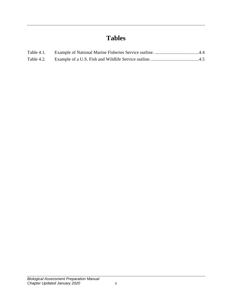# **Tables**

| Table 4.1. |  |
|------------|--|
|            |  |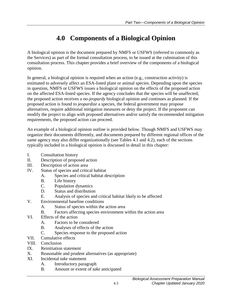# **4.0 Components of a Biological Opinion**

A biological opinion is the document prepared by NMFS or USFWS (referred to commonly as the Services) as part of the formal consultation process, to be issued at the culmination of this consultation process. This chapter provides a brief overview of the components of a biological opinion.

In general, a biological opinion is required when an action (e.g., construction activity) is estimated to adversely affect an ESA-listed plant or animal species. Depending upon the species in question, NMFS or USFWS issues a biological opinion on the effects of the proposed action on the affected ESA-listed species. If the agency concludes that the species will be unaffected, the proposed action receives a *no-jeopardy* biological opinion and continues as planned. If the proposed action is found to *jeopardize* a species, the federal government may propose alternatives, require additional mitigation measures or deny the project. If the proponent can modify the project to align with proposed alternatives and/or satisfy the recommended mitigation requirements, the proposed action can proceed.

An example of a biological opinion outline is provided below. Though NMFS and USFWS may organize their documents differently, and documents prepared by different regional offices of the same agency may also differ organizationally (see Tables 4.1 and 4.2), each of the sections typically included in a biological opinion is discussed in detail in this chapter:

- I. Consultation history
- II. Description of proposed action
- III. Description of action area
- IV. Status of species and critical habitat
	- A. Species and critical habitat description
	- B. Life history
	- C. Population dynamics
	- D. Status and distribution
	- E. Analysis of species and critical habitat likely to be affected
- V. Environmental baseline conditions
	- A. Status of species within the action area
	- B. Factors affecting species environment within the action area
- VI. Effects of the action
	- A. Factors to be considered
	- B. Analyses of effects of the action
	- C. Species response to the proposed action
- VII. Cumulative effects
- VIII. Conclusion
- IX. Reinitiation statement
- X. Reasonable and prudent alternatives (as appropriate)
- XI. Incidental *take* statement
	- A. Introductory paragraph
	- B. Amount or extent of *take* anticipated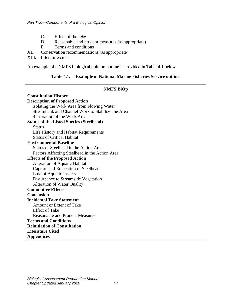- C. Effect of the *take*
- D. Reasonable and prudent measures (as appropriate)<br>E. Terms and conditions
- Terms and conditions
- XII. Conservation recommendations (as appropriate)
- XIII. Literature cited

<span id="page-7-0"></span>An example of a NMFS biological opinion outline is provided in Table 4.1 below.

#### **Table 4.1. Example of National Marine Fisheries Service outline.**

#### **NMFS BiOp**

| <b>Consultation History</b>                       |  |  |
|---------------------------------------------------|--|--|
| <b>Description of Proposed Action</b>             |  |  |
| Isolating the Work Area from Flowing Water        |  |  |
| Streambank and Channel Work to Stabilize the Area |  |  |
| <b>Restoration of the Work Area</b>               |  |  |
| <b>Status of the Listed Species (Steelhead)</b>   |  |  |
| <b>Status</b>                                     |  |  |
| Life History and Habitat Requirements             |  |  |
| <b>Status of Critical Habitat</b>                 |  |  |
| <b>Environmental Baseline</b>                     |  |  |
| Status of Steelhead in the Action Area            |  |  |
| Factors Affecting Steelhead in the Action Area    |  |  |
| <b>Effects of the Proposed Action</b>             |  |  |
| <b>Alteration of Aquatic Habitat</b>              |  |  |
| Capture and Relocation of Steelhead               |  |  |
| Loss of Aquatic Insects                           |  |  |
| Disturbance to Streamside Vegetation              |  |  |
| <b>Alteration of Water Quality</b>                |  |  |
| <b>Cumulative Effects</b>                         |  |  |
| <b>Conclusion</b>                                 |  |  |
| <b>Incidental Take Statement</b>                  |  |  |
| Amount or Extent of Take                          |  |  |
| <b>Effect of Take</b>                             |  |  |
| <b>Reasonable and Prudent Measures</b>            |  |  |
| <b>Terms and Conditions</b>                       |  |  |
| <b>Reinitiation of Consultation</b>               |  |  |
| <b>Literature Cited</b>                           |  |  |
| <b>Appendices</b>                                 |  |  |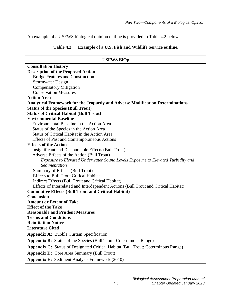<span id="page-8-0"></span>An example of a USFWS biological opinion outline is provided in Table 4.2 below.

#### **Table 4.2. Example of a U.S. Fish and Wildlife Service outline.**

| <b>USFWS BiOp</b>                                                                                   |  |  |
|-----------------------------------------------------------------------------------------------------|--|--|
| <b>Consultation History</b>                                                                         |  |  |
| <b>Description of the Proposed Action</b>                                                           |  |  |
| <b>Bridge Features and Construction</b>                                                             |  |  |
| <b>Stormwater Design</b>                                                                            |  |  |
| <b>Compensatory Mitigation</b>                                                                      |  |  |
| <b>Conservation Measures</b>                                                                        |  |  |
| <b>Action Area</b>                                                                                  |  |  |
| <b>Analytical Framework for the Jeopardy and Adverse Modification Determinations</b>                |  |  |
| <b>Status of the Species (Bull Trout)</b>                                                           |  |  |
| <b>Status of Critical Habitat (Bull Trout)</b>                                                      |  |  |
| <b>Environmental Baseline</b>                                                                       |  |  |
| Environmental Baseline in the Action Area                                                           |  |  |
| Status of the Species in the Action Area                                                            |  |  |
| Status of Critical Habitat in the Action Area                                                       |  |  |
| Effects of Past and Contemporaneous Actions                                                         |  |  |
| <b>Effects of the Action</b>                                                                        |  |  |
| Insignificant and Discountable Effects (Bull Trout)                                                 |  |  |
| Adverse Effects of the Action (Bull Trout)                                                          |  |  |
| Exposure to Elevated Underwater Sound Levels Exposure to Elevated Turbidity and                     |  |  |
| Sedimentation                                                                                       |  |  |
| Summary of Effects (Bull Trout)                                                                     |  |  |
| <b>Effects to Bull Trout Critical Habitat</b><br>Indirect Effects (Bull Trout and Critical Habitat) |  |  |
| Effects of Interrelated and Interdependent Actions (Bull Trout and Critical Habitat)                |  |  |
| <b>Cumulative Effects (Bull Trout and Critical Habitat)</b>                                         |  |  |
| <b>Conclusion</b>                                                                                   |  |  |
| <b>Amount or Extent of Take</b>                                                                     |  |  |
| <b>Effect of the Take</b>                                                                           |  |  |
| <b>Reasonable and Prudent Measures</b>                                                              |  |  |
| <b>Terms and Conditions</b>                                                                         |  |  |
| <b>Reinitiation Notice</b>                                                                          |  |  |
| <b>Literature Cited</b>                                                                             |  |  |
| <b>Appendix A: Bubble Curtain Specification</b>                                                     |  |  |
| <b>Appendix B:</b> Status of the Species (Bull Trout; Coterminous Range)                            |  |  |
| <b>Appendix C:</b> Status of Designated Critical Habitat (Bull Trout; Coterminous Range)            |  |  |
| <b>Appendix D:</b> Core Area Summary (Bull Trout)                                                   |  |  |
| <b>Appendix E:</b> Sediment Analysis Framework (2010)                                               |  |  |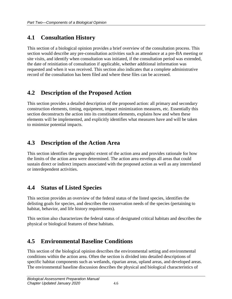### <span id="page-9-0"></span>**4.1 Consultation History**

This section of a biological opinion provides a brief overview of the consultation process. This section would describe any pre-consultation activities such as attendance at a pre-BA meeting or site visits, and identify when consultation was initiated, if the consultation period was extended, the date of reinitiation of consultation if applicable, whether additional information was requested and when it was received. This section also indicates that a complete administrative record of the consultation has been filed and where these files can be accessed.

# <span id="page-9-1"></span>**4.2 Description of the Proposed Action**

This section provides a detailed description of the proposed action: all primary and secondary construction elements, timing, equipment, impact minimization measures, etc. Essentially this section deconstructs the action into its constituent elements, explains how and when these elements will be implemented, and explicitly identifies what measures have and will be taken to minimize potential impacts.

### <span id="page-9-2"></span>**4.3 Description of the Action Area**

This section identifies the geographic extent of the action area and provides rationale for how the limits of the action area were determined. The action area envelops all areas that could sustain direct or indirect impacts associated with the proposed action as well as any interrelated or interdependent activities.

### <span id="page-9-3"></span>**4.4 Status of Listed Species**

This section provides an overview of the federal status of the listed species, identifies the delisting goals for species, and describes the conservation needs of the species (pertaining to habitat, behavior, and life history requirements).

This section also characterizes the federal status of designated critical habitats and describes the physical or biological features of these habitats.

# <span id="page-9-4"></span>**4.5 Environmental Baseline Conditions**

This section of the biological opinion describes the environmental setting and environmental conditions within the action area. Often the section is divided into detailed descriptions of specific habitat components such as wetlands, riparian areas, upland areas, and developed areas. The environmental baseline discussion describes the physical and biological characteristics of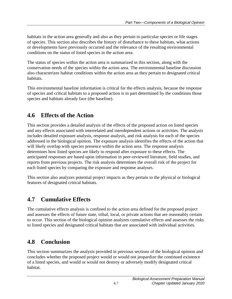habitats in the action area generally and also as they pertain to particular species or life stages of species. This section also describes the history of disturbance to these habitats, what actions or developments have previously occurred and the relevance of the resulting environmental conditions on the status of listed species in the action area.

The status of species within the action area is summarized in this section, along with the conservation needs of the species within the action area. The environmental baseline discussion also characterizes habitat conditions within the action area as they pertain to designated critical habitats.

This environmental baseline information is critical for the effects analysis, because the response of species and critical habitats to a proposed action is in part determined by the conditions those species and habitats already face (the baseline).

# <span id="page-10-0"></span>**4.6 Effects of the Action**

This section provides a detailed analysis of the effects of the proposed action on listed species and any effects associated with interrelated and interdependent actions or activities. The analysis includes detailed exposure analysis, response analysis, and risk analysis for each of the species addressed in the biological opinion. The exposure analysis identifies the effects of the action that will likely overlap with species presence within the action area. The response analysis determines how listed species are likely to respond after exposure to these effects. The anticipated responses are based upon information in peer-reviewed literature, field studies, and reports from previous projects. The risk analysis determines the overall risk of the project for each listed species by comparing the exposure and response analyses.

This section also analyzes potential project impacts as they pertain to the physical or biological features of designated critical habitats.

# <span id="page-10-1"></span>**4.7 Cumulative Effects**

The cumulative effects analysis is confined to the action area defined for the proposed project and assesses the effects of future state, tribal, local, or private actions that are reasonably certain to occur. This section of the biological opinion analyzes cumulative effects and assesses the risks to listed species and designated critical habitats that are associated with individual activities.

# <span id="page-10-2"></span>**4.8 Conclusion**

This section summarizes the analysis provided in previous sections of the biological opinion and concludes whether the proposed project would or would not jeopardize the continued existence of a listed species, and would or would not destroy or adversely modify designated critical habitat.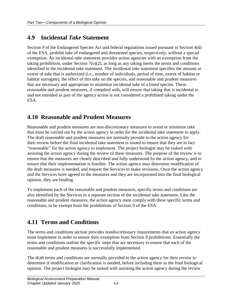### <span id="page-11-0"></span>**4.9 Incidental** *Take* **Statement**

Section 9 of the Endangered Species Act and federal regulations issued pursuant to Section 4(d) of the ESA, prohibit *take* of endangered and threatened species, respectively, without a special exemption. An incidental *take* statement provides action agencies with an exemption from the taking prohibition, under Section 7(o)(2), as long as any taking meets the terms and conditions identified in the incidental take statement. The incidental *take* statement specifies the amount or extent of *take* that is authorized (i.e., number of individuals, period of time, extent of habitat or habitat surrogate), the effect of this *take* on the species, and reasonable and prudent measures that are necessary and appropriate to minimize incidental *take* of a listed species. These reasonable and prudent measures, if complied with, will ensure that taking that is incidental to and not intended as part of the agency action is not considered a prohibited taking under the ESA.

#### <span id="page-11-1"></span>**4.10 Reasonable and Prudent Measures**

Reasonable and prudent measures are non-discretionary measures to avoid or minimize take that must be carried out by the action agency in order for the incidental take statement to apply. The draft reasonable and prudent measures are normally provide to the action agency for their review before the final incidental take statement is issued to ensure that they are in fact "reasonable" for the action agency to implement. The project biologist may be tasked with assisting the action agency during the review of these measures. The purpose of the review is to ensure that the measures are clearly described and fully understood by the action agency, and to ensure that their implementation is feasible. The action agency may determine modification of the draft measures is needed, and request the Services to make revisions. Once the action agency and the Services have agreed to the measures and they are incorporated into the final biological opinion, they are binding.

To implement each of the reasonable and prudent measures, specific terms and conditions are also identified by the Services in a separate section of the incidental take statement. Like the reasonable and prudent measures, the action agency must comply with these specific terms and conditions, to be exempt from the prohibitions of Section 9 of the ESA.

### <span id="page-11-2"></span>**4.11 Terms and Conditions**

The terms and conditions section provides nondiscretionary requirements that an action agency must implement in order to ensure their exemption from Section 9 prohibitions. Essentially the terms and conditions outline the specific steps that are necessary to ensure that each of the reasonable and prudent measures is successfully implemented.

The draft terms and conditions are normally provided to the action agency for their review to determine if modification or clarification is needed, before including them in the final biological opinion. The project biologist may be tasked with assisting the action agency during the review